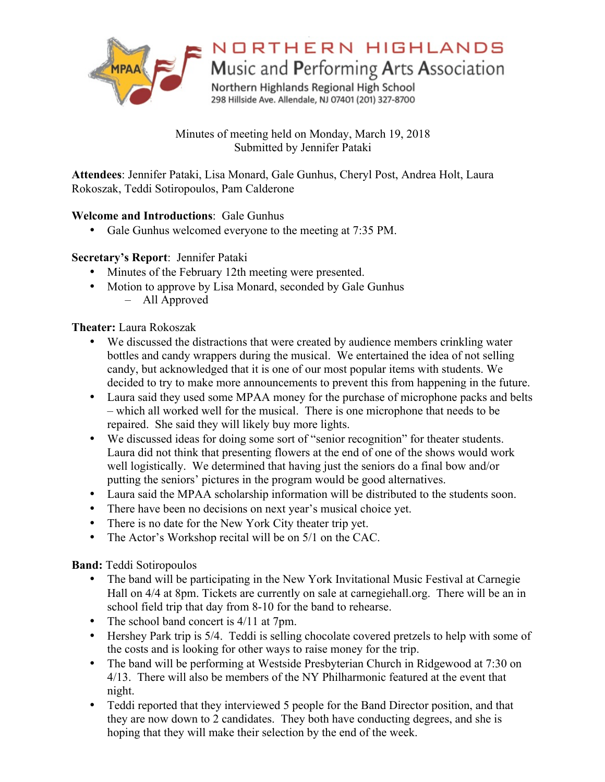

# NORTHERN HIGHLANDS

Music and Performing Arts Association

Northern Highlands Regional High School 298 Hillside Ave. Allendale, NJ 07401 (201) 327-8700

Minutes of meeting held on Monday, March 19, 2018 Submitted by Jennifer Pataki

**Attendees**: Jennifer Pataki, Lisa Monard, Gale Gunhus, Cheryl Post, Andrea Holt, Laura Rokoszak, Teddi Sotiropoulos, Pam Calderone

### **Welcome and Introductions**: Gale Gunhus

• Gale Gunhus welcomed everyone to the meeting at 7:35 PM.

## **Secretary's Report**: Jennifer Pataki

- Minutes of the February 12th meeting were presented.
- Motion to approve by Lisa Monard, seconded by Gale Gunhus – All Approved

**Theater:** Laura Rokoszak

- We discussed the distractions that were created by audience members crinkling water bottles and candy wrappers during the musical. We entertained the idea of not selling candy, but acknowledged that it is one of our most popular items with students. We decided to try to make more announcements to prevent this from happening in the future.
- Laura said they used some MPAA money for the purchase of microphone packs and belts – which all worked well for the musical. There is one microphone that needs to be repaired. She said they will likely buy more lights.
- We discussed ideas for doing some sort of "senior recognition" for theater students. Laura did not think that presenting flowers at the end of one of the shows would work well logistically. We determined that having just the seniors do a final bow and/or putting the seniors' pictures in the program would be good alternatives.
- Laura said the MPAA scholarship information will be distributed to the students soon.
- There have been no decisions on next year's musical choice yet.
- There is no date for the New York City theater trip yet.
- The Actor's Workshop recital will be on 5/1 on the CAC.

**Band:** Teddi Sotiropoulos

- The band will be participating in the New York Invitational Music Festival at Carnegie Hall on 4/4 at 8pm. Tickets are currently on sale at carnegiehall.org. There will be an in school field trip that day from 8-10 for the band to rehearse.
- The school band concert is  $4/11$  at 7pm.
- Hershey Park trip is 5/4. Teddi is selling chocolate covered pretzels to help with some of the costs and is looking for other ways to raise money for the trip.
- The band will be performing at Westside Presbyterian Church in Ridgewood at 7:30 on 4/13. There will also be members of the NY Philharmonic featured at the event that night.
- Teddi reported that they interviewed 5 people for the Band Director position, and that they are now down to 2 candidates. They both have conducting degrees, and she is hoping that they will make their selection by the end of the week.